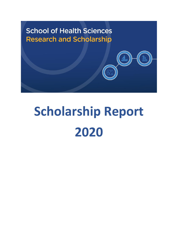

# **Scholarship Report 2020**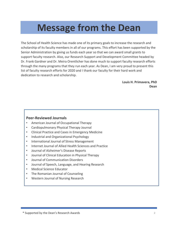## **Message from the Dean**

The School of Health Science has made one of its primary goals to increase the research and scholarship of its faculty members in all of our programs. This effort has been supported by the Senior Administration by giving us funds each year so that we can award small grants to support faculty research. Also, our Research Support and Development Committee headed by Dr. Frank Gardner and Dr. Meira Orentlicher has done much to support faculty research efforts through the many programs that they run each year. As Dean, I am very proud to present this list of faculty research efforts for 2020 and I thank our faculty for their hard work and dedication to research and scholarship.

> **Louis H. Primavera, PhD Dean**

#### **Peer-Reviewed Journals**

- American Journal of Occupational Therapy
- Cardiopulmonary Physical Therapy Journal
- Clinical Practice and Cases in Emergency Medicine
- Industrial and Organizational Psychology
- International Journal of Stress Management
- Internet Journal of Allied Health Sciences and Practice
- Journal of Alzheimer's Disease Reports
- Journal of Clinical Education in Physical Therapy
- Journal of Communication Disorders
- Journal of Speech, Language, and Hearing Research
- Medical Science Educator
- The Romanian Journal of Counseling
- Western Journal of Nursing Research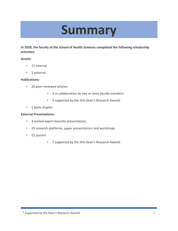## **Summary**

**In 2020, the faculty of the School of Health Sciences completed the following scholarship activities:**

#### **Grants:**

- 11 internal
- 1 external

#### **Publications:**

- 20 peer-reviewed articles
	- *4 in collaboration by two or more faculty members*
	- *5 supported by the SHS Dean's Research Awards*
- 1 book chapter

#### **External Presentations:**

- 3 invited expert keynote presentations
- 19 research platforms, paper presentations and workshops
- 15 posters
	- *7 supported by the SHS Dean's Research Awards*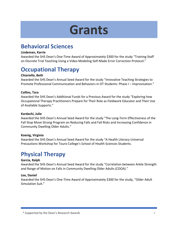## **Grants**

## **Behavioral Sciences**

#### **Lindeman, Karrie**

Awarded the SHS Dean's One-Time Award of Approximately \$300 for the study "Training Staff on Discrete Trial Teaching Using a Video Modeling Self-Made Error Correction Protocol."

## **Occupational Therapy**

#### **Chiariello, Beth**

Awarded the SHS Dean's Annual Seed Award for the study "Innovative Teaching Strategies to Promote Professional Communication and Behaviors in OT Students: Phase I – Improvisation."

#### **Collins, Tara**

Awarded the SHS Dean's Additional Funds for a Previous Award for the study "Exploring how Occupational Therapy Practitioners Prepare for Their Role as Fieldwork Educator and Their Use of Available Supports."

#### **Kardachi, Julie**

Awarded the SHS Dean's Annual Seed Award for the study "The Long-Term Effectiveness of the Fall Stop Move Strong Program on Reducing Falls and Fall Risks and Increasing Confidence in Community Dwelling Older Adults."

#### **Koenig, Virginia**

Awarded the SHS Dean's Annual Seed Award for the study "A Health Literacy Universal Precautions Workshop for Touro College's School of Health Sciences Students.

## **Physical Therapy**

#### **Garcia, Ralph**

Awarded the SHS Dean's Annual Seed Award for the study "Correlation between Ankle Strength and Range of Motion on Falls in Community Dwelling Older Adults (CDOA)."

#### **Lee, Daniel**

Awarded the SHS Dean's One-Time Award of Approximately \$300 for the study, "Older Adult Simulation Suit."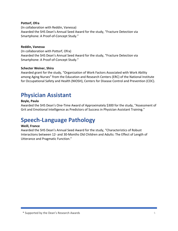#### **Pottorf, Ofra**

(In collaboration with Reddin, Vanessa) Awarded the SHS Dean's Annual Seed Award for the study, "Fracture Detection via Smartphone: A Proof-of-Concept Study."

#### **Reddin, Vanessa**

(In collaboration with Pottorf, Ofra) Awarded the SHS Dean's Annual Seed Award for the study, "Fracture Detection via Smartphone: A Proof-of-Concept Study."

#### **Schecter Weiner, Shira**

Awarded grant for the study, "Organization of Work Factors Associated with Work Ability among Aging Nurses" from the Education and Research Centers (ERC) of the National Institute for Occupational Safety and Health (NIOSH), Centers for Disease Control and Prevention (CDC).

### **Physician Assistant**

#### **Boyle, Paula**

Awarded the SHS Dean's One-Time Award of Approximately \$300 for the study, "Assessment of Grit and Emotional Intelligence as Predictors of Success in Physician Assistant Training."

## **Speech-Language Pathology**

#### **Weill, France**

Awarded the SHS Dean's Annual Seed Award for the study, "Characteristics of Robust Interactions between 12- and 30-Months Old Children and Adults: The Effect of Length of Utterance and Pragmatic Function."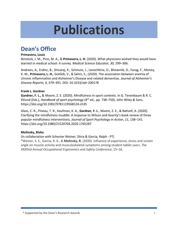## **Publications**

## **Dean's Office**

#### **Primavera, Louis**

Binstock, J. M., Pino, M. A., & **Primavera, L. H.** (2020). What physicians wished they would have learned in medical school: A survey. *Medical Science Educator, 30,* 299–306.

Andreev, A., Erdinc, B., Shivaraj, K., Schmutz, J., Levochkina, O., Bhowmik, D., Farag, F., Money, K. M., **Primavera, L. H.**, Gotlieb, V., & Sahni, S., (2020). The association between anemia of chronic inflammation and Alzheimer's Disease and related dementias. *Journal of Alzheimer's Disease Reports, 4*, 379–391. DOI: 10.3233/adr-200178

#### **Frank L. Gardner**

**Gardner, F. L.,** & Moore, Z. E. (2020). Mindfulness in sport contexts. In G. Tenenbaum & R. C. Eklund (Eds.), *Handbook of sport psychology* (4th ed., pp. 738–750). John Wiley & Sons. https://doi.org/10.1002/9781119568124.ch35

Glass, C. R., Pineau, T. R., Kaufman, K. A., **Gardner, F. L**., Moore, Z. E., & Baltzell, A. (2020). Clarifying the mindfulness muddle: A response to Wilson and Gearity's book review of three popular mindfulness interventions. *Journal of Sport Psychology in Action*, *11*, 138–141. https://doi.org/10.1080/21520704.2020.1765287

#### **Molinsky, Rivka**

(In collaboration with Schecter Weiner, Shira & Garcia, Ralph - PT)

\*Weiner, S. S., Garcia, R. K., & **Molinsky, R.** (2020). Influence of experience, stress and screen angle on muscle activity and musculoskeletal symptoms among student tablet users. *The XXXIInd Annual Occupational Ergonomics and Safety Conference*, 15–16.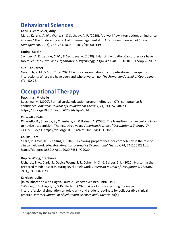## **Behavioral Sciences**

#### **Kerulis Schmucker, Amy**

Ma, J., **Kerulis, A. M**., Wang, Y., & Sachdev, A. R. (2020). Are workflow interruptions a hindrance stressor? The moderating effect of time-management skill. *International Journal of Stress Management, 27*(3), 252–261. DOI: 10.1037/str0000149

#### **Lapine, Caitlin**

Sachdev, A. R., **Lapine, C. M.**, & Sachdeva, A. (2020). Balancing empathy: Can professors have too much? *Industrial and Organizational Psychology, 13*(4), 479–481. DOI: 10.1017/iop.2020.83

#### **Suri, Tanupreet**

Goodrich, K. M. & **Suri, T.** (2020). A historical examination of computer-based therapeutic interactions: Where we have been and where we can go. *The Romanian Journal of Counseling*, *6*(1), 50-76.

## **Occupational Therapy**

#### **Buccinna , Michelle**

Buccinna, M. (2020). Formal stroke education program effects on OTs' competence & confidence. *American Journal of Occupational Therapy*, *74*, 7411520487p1. https://doi.org/10.5014/ajot.2020.74s1-po6314

#### **Chiariello, Beth**

**Chiariello, B**., Shaulov, S., Chambers, K., & Ratner, A. (2020). The transition from expert clinician to novice academician: The first three years. *American Journal of Occupational Therapy*, *74*, 7411505122p1. https://doi.org/10.5014/ajot.2020.74S1-PO3026

#### **Collins, Tara**

\*Karp, P., Lavin, K., & **Collins, T.** (2020). Exploring preparedness for competency in the role of clinical fieldwork educator. *American Journal of Occupational Therapy*, *74*, 7411505231p1. https://doi.org/10.5014/ajot.2020.74S1-PO9020

#### **Dapice Wong, Stephanie**

Richards, T. A., Clark, S., **Dapice Wong, S. J.**, Cohen, H. S., & Garber, S. L. (2020). Nurturing the prepared mind: Research during level II fieldwork. *American Journal of Occupational Therapy, 74*(1), 7401345020.

#### **Kardachi, Julie**

(In collaboration with Hagan, Laura & Schecter Weiner, Shira – PT) \*Weiner, S. S., Hagan, L., & **Kardachi, J.** (2020). A pilot study exploring the impact of interprofessional simulation on role clarity and student readiness for collaborative clinical practice. *Internet Journal of Allied Health Sciences and Practice, 18*(4).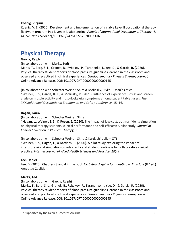#### **Koenig, Virginia**

Koenig, V. E. (2020). Development and implementation of a viable Level II occupational therapy fieldwork program in a juvenile justice setting. *Annals of International Occupational Therapy*, *4*, 44–52. https://doi.org/10.3928/24761222-20200923-02

## **Physical Therapy**

#### **Garcia, Ralph**

(In collaboration with Marks, Ted)

Marks, T., Berg, S. L., Granek, B., Rybakov, P., Taranenko, I., Yee, D., & **Garcia, R.** (2020). Physical therapy student reports of blood pressure guidelines learned in the classroom and observed and practiced in clinical experiences. *Cardiopulmonary Physical Therapy Journal,* Online Advance Release. DOI: 10.1097/CPT.0000000000000145

(In collaboration with Schecter Weiner, Shira & Molinsky, Rivka – Dean's Office) \*Weiner, S. S., **Garcia, R. K.,** & Molinsky, R. (2020). Influence of experience, stress and screen angle on muscle activity and musculoskeletal symptoms among student tablet users. *The XXXIInd Annual Occupational Ergonomics and Safety Conference*, 15–16.

#### **Hagan, Laura**

(In collaboration with Schecter Weiner, Shira)

\***Hagan, L.**, Weiner, S. S., & Rosen, Z. (2020). The impact of low-cost, optimal fidelity simulation on physical therapy students' clinical performance and self-efficacy: A pilot study. *Journal of Clinical Education in Physical Therapy, 2*.

(In collaboration with Schecter Weiner, Shira & Kardachi, Julie – OT) \*Weiner, S. S., **Hagan, L.**, & Kardachi, J. (2020). A pilot study exploring the impact of interprofessional simulation on role clarity and student readiness for collaborative clinical practice. *Internet Journal of Allied Health Sciences and Practice, 18*(4).

#### **Lee, Daniel**

Lee, D. (2020). Chapters 3 and 4 in the book *First step: A guide for adapting to limb loss* (8th ed.) Amputee Coalition.

#### **Marks, Ted**

(In collaboration with Garcia, Ralph)

**Marks, T**., Berg, S. L., Granek, B., Rybakov, P., Taranenko, I., Yee, D., & Garcia, R. (2020). Physical therapy student reports of blood pressure guidelines learned in the classroom and observed and practiced in clinical experiences. *Cardiopulmonary Physical Therapy Journal*  Online Advance Release. DOI: 10.1097/CPT.0000000000000145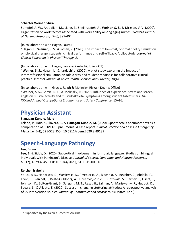#### **Schecter Weiner, Shira**

Stimpfel, A. W., Arabdjian, M., Liang, E., Sheikhzadeh, A., **Weiner, S. S.**, & Dickson, V. V. (2020). Organization of work factors associated with work ability among aging nurses. *Western Journal of Nursing Research, 42*(6), 397-404.

(In collaboration with Hagan, Laura)

\*Hagan, L., **Weiner, S. S.**, & Rosen, Z. (2020). The impact of low-cost, optimal fidelity simulation on physical therapy students' clinical performance and self-efficacy: A pilot study. *Journal of Clinical Education in Physical Therapy, 2*.

(In collaboration with Hagan, Laura & Kardachi, Julie – OT) \***Weiner, S. S.**, Hagan, L., & Kardachi, J. (2020). A pilot study exploring the impact of interprofessional simulation on role clarity and student readiness for collaborative clinical practice. *Internet Journal of Allied Health Sciences and Practice, 18*(4).

(In collaboration with Gracia, Ralph & Molinsky, Rivka – Dean's Office) **\*Weiner, S. S.,** Garcia, R. K., & Molinsky, R. (2020). Influence of experience, stress and screen angle on muscle activity and musculoskeletal symptoms among student tablet users. *The XXXIInd Annual Occupational Ergonomics and Safety Conference*, 15–16.

## **Physician Assistant**

#### **Flanagan-Kundle, Mary**

Leland, P., Roit, Z., Llovera, L., & **Flanagan-Kundle, M.** (2020). Spontaneous pneumothorax as a complication of COVID-19 pneumonia: A case report. *Clinical Practice and Cases in Emergency Medicine, 4*(4), 521-523. DOI: 10.5811/cpem.2020.8.49139

## **Speech-Language Pathology**

#### **Lee, Binna**

**Lee, B.** & Sidtis, D. (2020). Subcortical involvement in formulaic language: Studies on bilingual individuals with Parkinson's Disease. *Journal of Speech, Language, and Hearing Research, 63*(12), 4029-4045. DOI: 10.1044/2020\_JSLHR-19-00390

#### **Reichel, Isabella**

St. Louis, K., Hendricks, D., Wesierska, K., Przepiorka, A., Blachnio, A., Beucher, C., Abdalla, F., Flynn, T., **Reichel, I.**, Beste-Guldborg, A., Junuzovic,-Zunic, L., Gottwald, S., Hartley, J., Eisert, S., Johnson, K., Bolton-Grant, B., Sangani, M. T., Rezai, H., Salman, A., Mariswamy, P., Hudock, D., Spears, S., & Aliveto, E. (2020). Success in changing stuttering attitudes: A retrospective analysis of 29 intervention studies. *Journal of Communication Disorders, 84*(March-April).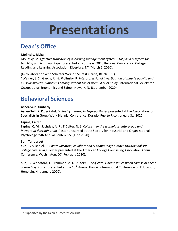## **Presentations**

## **Dean's Office**

#### **Molinsky, Rivka**

Molinsky, M. *Effective transition of a learning management system (LMS) as a platform for teaching and learning*. Paper presented at Northeast 2020 Regional Conference, College Reading and Learning Association, Riverdale, NY (March 5, 2020).

(In collaboration with Schecter Weiner, Shira & Garcia, Ralph – PT)

\*Weiner, S. S., Garcia, R., & **Molinsky, R**. *Interprofessional investigation of muscle activity and musculoskeletal symptoms among student tablet users: A pilot study*. International Society for Occupational Ergonomics and Safety, Newark, NJ (September 2020).

## **Behavioral Sciences**

#### **Asner-Self, Kimberly**

**Asner-Self, K. K.**, & Patel, D. *Poetry therapy in T-group*. Paper presented at the Association for Specialists in Group Work Biennial Conference, Dorado, Puerto Rico (January 31, 2020).

#### **Lapine, Caitlin**

**Lapine, C. M.**, Sachdev, A. R., & Salter, N. S. *Colorism in the workplace: Intergroup and intragroup discrimination.* Poster presented at the Society for Industrial and Organizational Psychology 35th Annual Conference (June 2020).

#### **Suri, Tanupreet**

**Suri, T.** & Daniel, D. *Communication, collaboration & community: A move towards holistic college counseling.* Poster presented at the American College Counseling Association Annual Conference, Washington, DC (February 2020).

**Suri, T.**, Woodford, J., Brammer, M. K., & Keim, J. *Self-care: Unique issues when counselors need counseling.* Poster presented at the 18th Annual Hawaii International Conference on Education, Honolulu, HI (January 2020).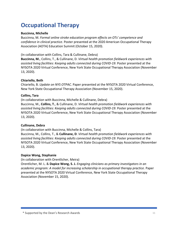## **Occupational Therapy**

#### **Buccinna, Michelle**

Buccinna, M. *Formal online stroke education program effects on OTs' competence and confidence in clinical practice*. Poster presented at the 2020 American Occupational Therapy Association (AOTA) Education Summit (October 15, 2020).

(In collaboration with Collins, Tara & Cullinane, Debra)

**Buccinna, M.**, Collins, T., & Cullinane, D. *Virtual health promotion fieldwork experiences with assisted living facilities: Keeping adults connected during COVID-19*. Poster presented at the NYSOTA 2020 Virtual Conference, New York State Occupational Therapy Association (November 13, 2020).

#### **Chiariello, Beth**

Chiariello, B. *Update on NYS OTPAC*. Paper presented at the NYSOTA 2020 Virtual Conference, New York State Occupational Therapy Association (November 15, 2020).

#### **Collins, Tara**

(In collaboration with Buccinna, Michelle & Cullinane, Debra)

Buccinna, M., **Collins, T.**, & Cullinane, D. *Virtual health promotion fieldwork experiences with assisted living facilities: Keeping adults connected during COVID-19*. Poster presented at the NYSOTA 2020 Virtual Conference, New York State Occupational Therapy Association (November 13, 2020).

#### **Cullinane, Debra**

(In collaboration with Buccinna, Michelle & Collins, Tara)

Buccinna, M., Collins, T., & **Cullinane, D**. *Virtual health promotion fieldwork experiences with assisted living facilities: Keeping adults connected during COVID-19*. Poster presented at the NYSOTA 2020 Virtual Conference, New York State Occupational Therapy Association (November 13, 2020).

#### **Dapice Wong, Stephanie**

(In collaboration with Orentlicher, Meira)

Orentlicher, M. L. & **Dapice Wong, S. J.** *Engaging clinicians as primary investigators in an academic program: A model for increasing scholarship in occupational therapy practice*. Paper presented at the NYSOTA 2020 Virtual Conference, New York State Occupational Therapy Association (November 15, 2020).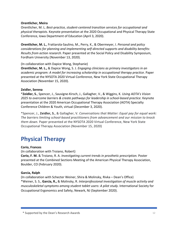#### **Orentlicher, Meira**

Orentlicher, M. L. *Best-practice, student-centered transition services for occupational and physical therapists.* Keynote presentation at the 2020 Occupational and Physical Therapy State Conference, Iowa Department of Education (April 3, 2020).

**Orentlicher, M. L.**, Frattarola-Saulino, M., Perry, K., & Obermeyer, I. *Personal and policy considerations for planning and implementing self-directed supports and disability benefits: Results from action research*. Paper presented at the Social Policy and Disability Symposium, Fordham University (November 13, 2020).

(In collaboration with Dapice Wong, Stephanie)

**Orentlicher, M. L.,** & Dapice Wong, S. J. *Engaging clinicians as primary investigators in an academic program: A model for increasing scholarship in occupational therapy practice*. Paper presented at the NYSOTA 2020 Virtual Conference, New York State Occupational Therapy Association (November 15, 2020).

#### **Zeidler, Serena**

\***Zeidler, S.**, Spencer, J., Sauvigne-Kirsch, J., Gallagher, V., & Wiggins, K. *Using AOTA's Vision 2025 to overcome barriers & create pathways for leadership in school-based practice*. Keynote presentation at the 2020 American Occupational Therapy Association (AOTA) Specialty Conference Children & Youth, virtual (December 3, 2020).

\*Spencer, J., **Zeidler, S.**, & Gallagher, V. *Conversations that Matter: Equal pay for equal work: The barriers limiting school-based practitioners from advancement and our mission to knock them down.* Paper presented at the NYSOTA 2020 Virtual Conference, New York State Occupational Therapy Association (November 15, 2020)

## **Physical Therapy**

#### **Corio, Frances**

(In collaboration with Troiano, Robert)

**Corio, F. M.** & Troiano, R. A. *Investigating current trends in prosthetic prescription.* Poster presented at the Combined Sections Meeting of the American Physical Therapy Association, Boulder, CO (February 2020).

#### **Garcia, Ralph**

(In collaboration with Schecter Weiner, Shira & Molinsky, Rivka – Dean's Office) \*Weiner, S. S., **Garcia, R.,** & Molinsky, R. *Interprofessional investigation of muscle activity and musculoskeletal symptoms among student tablet users: A pilot study*. International Society for Occupational Ergonomics and Safety, Newark, NJ (September 2020).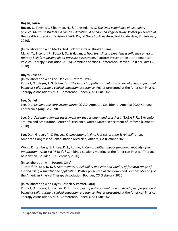#### **Hagan, Laura**

**Hagan, L.**, Tovin, M., Silberman, N., & Rone-Adams, S. *The lived experience of exemplary physical therapist students in clinical Education: A phenomenological study*. Poster presented at the Health Professions Division REACH Day at Nova Southeastern, Fort Lauderdale, FL (February 2020).

(In collaboration with Marks, Ted, Pottorf, Ofra & Thakkar, Rima)

Marks, T., Thakkar, R., Pottorf, O., & **Hagan, L.** *How first clinical experiences influence physical therapy beliefs regarding blood pressure assessment*. Platform Presentation at the American Physical Therapy Association (APTA) Combined Sections Conference, Denver, Co (February 15, 2020).

#### **Hayes, Joseph**

(In collaboration with Lee, Daniel & Pottorf, Ofra)

Pottorf, O., **Hayes, J. G.** & Lee, D. J. *The impact of patient simulation on developing professional behavior skills during a clinical education experience*. Poster presented at the American Physical Therapy Association's NEXT Conference, Phoenix, AZ (June 2020).

#### **Lee, Daniel**

Lee, D. J. *Keeping the core strong during COVID*. Amputee Coalition of America 2020 National Conference (August 2020).

Lee, D. J. *Self-management assessment for the residuum and prosthesis (S.M.A.R.T.)*. Extremity Trauma and Amputation Center of Excellence, United States Department of Defense (October 2020).

**Lee, D. J.**, Grover, P., & Reeves, K. *Innovations in limb loss restoration & rehabilitation*. American Congress of Rehabilitation Medicine, Atlanta, GA (October 2020).

Wong, K., Lamberg, E. J., **Lee, D. J.,** Rufino, R. *Comorbidities impact functional mobility after amputation: What's a PT to do?* Combined Sections Meeting of the American Physical Therapy Association, Boulder, CO (February 2020).

(In collaboration with Pottorf, Ofra)

\*Pottorf, O., **Lee, D. J.,** & Abramowitz, A. *Reliability and criterion validity of forearm range of motion using a smartphone application.* Poster presented at the Combined Sections Meeting of the American Physical Therapy Association, Boulder, CO (February 2020).

(In collaboration with Hayes, Joseph & Pottorf, Ofra)

Pottorf, O., Hayes, J. G. & **Lee, D. J.** *The impact of patient simulation on developing professional behavior skills during a clinical education experience*. Poster presented at the American Physical Therapy Association's NEXT Conference, Phoenix, AZ (June 2020).

<sup>\*</sup> Supported by the Dean's Research Awards 13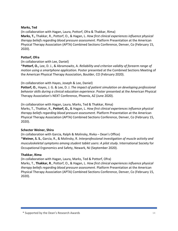#### **Marks, Ted**

(In collaboration with Hagan, Laura, Pottorf, Ofra & Thakkar, Rima) **Marks, T.,** Thakkar, R., Pottorf, O., & Hagan, L. *How first clinical experiences influence physical therapy beliefs regarding blood pressure assessment*. Platform Presentation at the American Physical Therapy Association (APTA) Combined Sections Conference, Denver, Co (February 15, 2020).

#### **Pottorf, Ofra**

(In collaboration with Lee, Daniel)

\***Pottorf, O.,** Lee, D. J., & Abramowitz, A. *Reliability and criterion validity of forearm range of motion using a smartphone application.* Poster presented at the Combined Sections Meeting of the American Physical Therapy Association, Boulder, CO (February 2020).

(In collaboration with Hayes, Joseph & Lee, Daniel)

**Pottorf, O.**, Hayes, J. G. & Lee, D. J. *The impact of patient simulation on developing professional behavior skills during a clinical education experience*. Poster presented at the American Physical Therapy Association's NEXT Conference, Phoenix, AZ (June 2020).

(In collaboration with Hagan, Laura, Marks, Ted & Thakkar, Rima)

Marks, T., Thakkar, R., **Pottorf, O.,** & Hagan, L. *How first clinical experiences influence physical therapy beliefs regarding blood pressure assessment*. Platform Presentation at the American Physical Therapy Association (APTA) Combined Sections Conference, Denver, Co (February 15, 2020).

#### **Schecter Weiner, Shira**

(In collaboration with Garcia, Ralph & Molinsky, Rivka – Dean's Office) \***Weiner, S. S.**, Garcia, R., & Molinsky, R. *Interprofessional investigation of muscle activity and musculoskeletal symptoms among student tablet users: A pilot study*. International Society for Occupational Ergonomics and Safety, Newark, NJ (September 2020).

#### **Thakkar, Rima**

(In collaboration with Hagan, Laura, Marks, Ted & Pottorf, Ofra)

Marks, T., **Thakkar, R**., Pottorf, O., & Hagan, L. *How first clinical experiences influence physical therapy beliefs regarding blood pressure assessment*. Platform Presentation at the American Physical Therapy Association (APTA) Combined Sections Conference, Denver, Co (February 15, 2020).